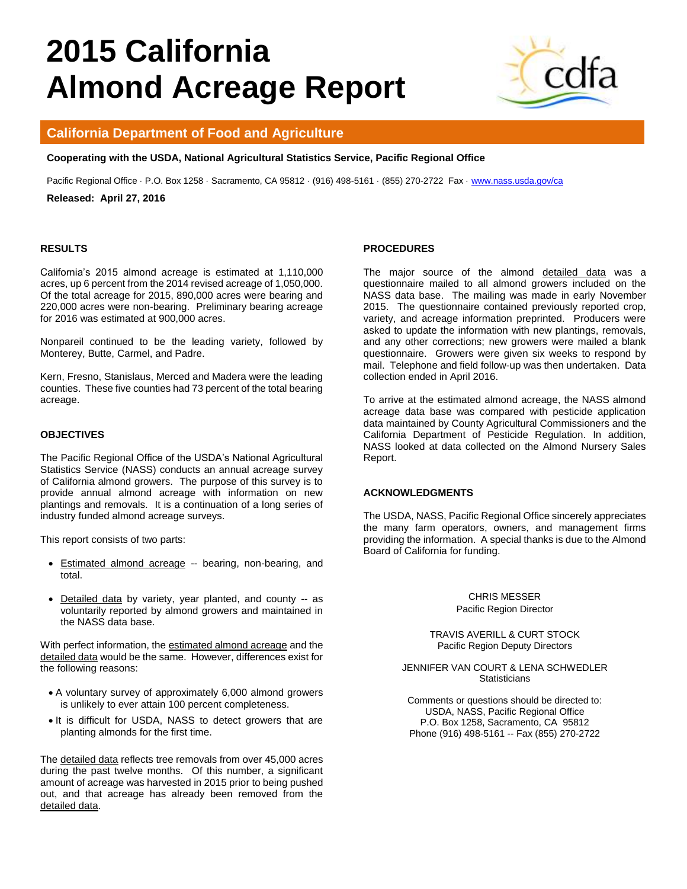# **2015 California Almond Acreage Report**



## **California Department of Food and Agriculture**

**Cooperating with the USDA, National Agricultural Statistics Service, Pacific Regional Office**

Pacific Regional Office · P.O. Box 1258 · Sacramento, CA 95812 · (916) 498-5161 · (855) 270-2722 Fax · [www.nass.usda.gov/ca](http://www.nass.usda.gov/ca)

**Released: April 27, 2016** 

#### **RESULTS**

California's 2015 almond acreage is estimated at 1,110,000 acres, up 6 percent from the 2014 revised acreage of 1,050,000. Of the total acreage for 2015, 890,000 acres were bearing and 220,000 acres were non-bearing. Preliminary bearing acreage for 2016 was estimated at 900,000 acres.

Nonpareil continued to be the leading variety, followed by Monterey, Butte, Carmel, and Padre.

Kern, Fresno, Stanislaus, Merced and Madera were the leading counties. These five counties had 73 percent of the total bearing acreage.

### **OBJECTIVES**

The Pacific Regional Office of the USDA's National Agricultural Statistics Service (NASS) conducts an annual acreage survey of California almond growers. The purpose of this survey is to provide annual almond acreage with information on new plantings and removals. It is a continuation of a long series of industry funded almond acreage surveys.

This report consists of two parts:

- Estimated almond acreage -- bearing, non-bearing, and total.
- Detailed data by variety, year planted, and county -- as voluntarily reported by almond growers and maintained in the NASS data base.

With perfect information, the estimated almond acreage and the detailed data would be the same. However, differences exist for the following reasons:

- A voluntary survey of approximately 6,000 almond growers is unlikely to ever attain 100 percent completeness.
- It is difficult for USDA, NASS to detect growers that are planting almonds for the first time.

The detailed data reflects tree removals from over 45,000 acres during the past twelve months. Of this number, a significant amount of acreage was harvested in 2015 prior to being pushed out, and that acreage has already been removed from the detailed data.

#### **PROCEDURES**

The major source of the almond detailed data was a questionnaire mailed to all almond growers included on the NASS data base. The mailing was made in early November 2015. The questionnaire contained previously reported crop, variety, and acreage information preprinted. Producers were asked to update the information with new plantings, removals, and any other corrections; new growers were mailed a blank questionnaire. Growers were given six weeks to respond by mail. Telephone and field follow-up was then undertaken. Data collection ended in April 2016.

To arrive at the estimated almond acreage, the NASS almond acreage data base was compared with pesticide application data maintained by County Agricultural Commissioners and the California Department of Pesticide Regulation. In addition, NASS looked at data collected on the Almond Nursery Sales Report.

#### **ACKNOWLEDGMENTS**

The USDA, NASS, Pacific Regional Office sincerely appreciates the many farm operators, owners, and management firms providing the information. A special thanks is due to the Almond Board of California for funding.

> CHRIS MESSER Pacific Region Director

TRAVIS AVERILL & CURT STOCK Pacific Region Deputy Directors

JENNIFER VAN COURT & LENA SCHWEDLER **Statisticians** 

Comments or questions should be directed to: USDA, NASS, Pacific Regional Office P.O. Box 1258, Sacramento, CA 95812 Phone (916) 498-5161 -- Fax (855) 270-2722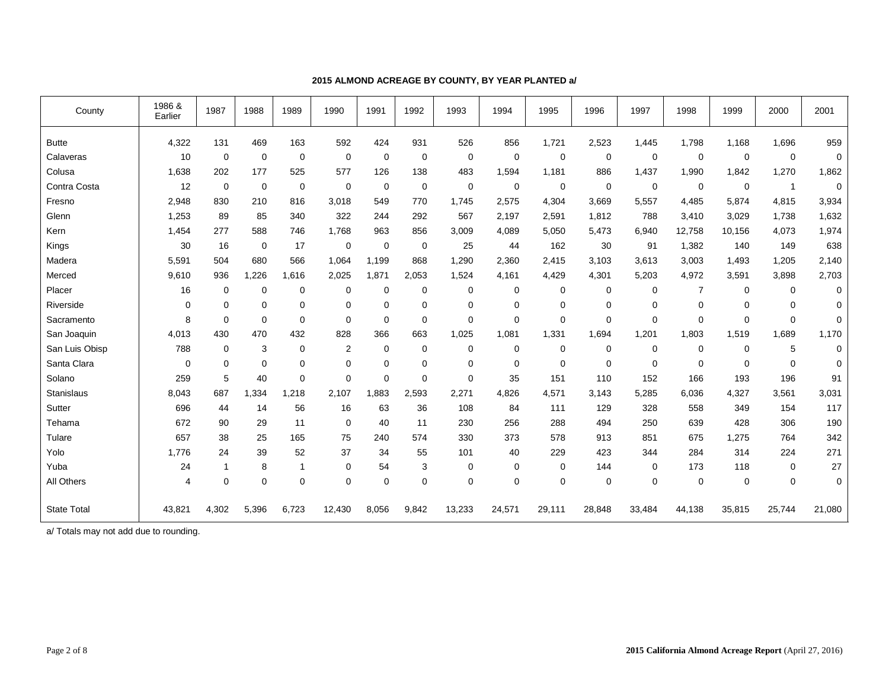| County             | 1986 &<br>Earlier | 1987           | 1988        | 1989         | 1990           | 1991        | 1992        | 1993        | 1994        | 1995        | 1996        | 1997        | 1998           | 1999        | 2000           | 2001        |
|--------------------|-------------------|----------------|-------------|--------------|----------------|-------------|-------------|-------------|-------------|-------------|-------------|-------------|----------------|-------------|----------------|-------------|
| <b>Butte</b>       | 4,322             | 131            | 469         | 163          | 592            | 424         | 931         | 526         | 856         | 1,721       | 2,523       | 1,445       | 1,798          | 1,168       | 1,696          | 959         |
| Calaveras          | 10                | $\mathbf 0$    | $\mathbf 0$ | $\mathbf 0$  | 0              | $\mathbf 0$ | $\mathbf 0$ | $\mathbf 0$ | $\mathbf 0$ | $\mathbf 0$ | $\mathbf 0$ | $\mathbf 0$ | $\mathbf 0$    | $\mathbf 0$ | $\mathbf 0$    | $\mathbf 0$ |
| Colusa             | 1,638             | 202            | 177         | 525          | 577            | 126         | 138         | 483         | 1,594       | 1,181       | 886         | 1,437       | 1,990          | 1,842       | 1,270          | 1,862       |
| Contra Costa       | 12                | $\mathbf 0$    | $\mathbf 0$ | 0            | 0              | $\mathbf 0$ | $\mathbf 0$ | $\mathbf 0$ | $\mathbf 0$ | $\mathbf 0$ | $\mathbf 0$ | $\mathbf 0$ | $\mathbf 0$    | $\mathbf 0$ | $\overline{1}$ | $\mathbf 0$ |
| Fresno             | 2,948             | 830            | 210         | 816          | 3.018          | 549         | 770         | 1,745       | 2,575       | 4,304       | 3,669       | 5,557       | 4,485          | 5,874       | 4,815          | 3,934       |
| Glenn              | 1,253             | 89             | 85          | 340          | 322            | 244         | 292         | 567         | 2,197       | 2,591       | 1,812       | 788         | 3,410          | 3,029       | 1,738          | 1,632       |
| Kern               | 1,454             | 277            | 588         | 746          | 1,768          | 963         | 856         | 3,009       | 4,089       | 5,050       | 5,473       | 6,940       | 12,758         | 10,156      | 4,073          | 1,974       |
| Kings              | 30                | 16             | $\mathbf 0$ | 17           | 0              | 0           | $\mathbf 0$ | 25          | 44          | 162         | 30          | 91          | 1,382          | 140         | 149            | 638         |
| Madera             | 5,591             | 504            | 680         | 566          | 1,064          | 1,199       | 868         | 1,290       | 2,360       | 2,415       | 3,103       | 3,613       | 3,003          | 1,493       | 1,205          | 2,140       |
| Merced             | 9,610             | 936            | 1,226       | 1.616        | 2,025          | 1.871       | 2,053       | 1,524       | 4.161       | 4,429       | 4,301       | 5,203       | 4,972          | 3,591       | 3,898          | 2,703       |
| Placer             | 16                | $\mathbf 0$    | 0           | 0            | 0              | $\mathbf 0$ | $\mathbf 0$ | $\mathbf 0$ | $\mathbf 0$ | $\mathbf 0$ | $\mathbf 0$ | $\mathbf 0$ | $\overline{7}$ | 0           | 0              | $\mathbf 0$ |
| Riverside          | $\mathbf 0$       | $\mathbf 0$    | 0           | $\mathbf 0$  | 0              | $\mathbf 0$ | $\Omega$    | $\Omega$    | $\mathbf 0$ | $\mathbf 0$ | $\mathbf 0$ | $\mathbf 0$ | $\mathbf 0$    | $\mathbf 0$ | $\Omega$       | $\mathbf 0$ |
| Sacramento         | 8                 | $\mathbf 0$    | $\mathbf 0$ | $\mathbf 0$  | 0              | $\mathbf 0$ | $\Omega$    | $\mathbf 0$ | $\mathbf 0$ | $\mathbf 0$ | $\mathbf 0$ | 0           | $\mathbf 0$    | $\mathbf 0$ | $\Omega$       | 0           |
| San Joaquin        | 4,013             | 430            | 470         | 432          | 828            | 366         | 663         | 1,025       | 1,081       | 1,331       | 1,694       | 1,201       | 1,803          | 1,519       | 1,689          | 1,170       |
| San Luis Obisp     | 788               | $\mathbf 0$    | 3           | $\mathbf 0$  | $\overline{2}$ | $\mathbf 0$ | 0           | 0           | $\mathbf 0$ | 0           | $\mathbf 0$ | $\mathbf 0$ | $\mathbf 0$    | $\mathbf 0$ | 5              | $\mathbf 0$ |
| Santa Clara        | $\mathbf 0$       | $\mathbf 0$    | $\mathbf 0$ | 0            | 0              | $\mathbf 0$ | $\mathbf 0$ | $\mathbf 0$ | $\mathbf 0$ | $\mathbf 0$ | $\mathbf 0$ | $\mathbf 0$ | $\mathbf 0$    | $\mathbf 0$ | $\mathbf 0$    | $\mathbf 0$ |
| Solano             | 259               | 5              | 40          | 0            | 0              | 0           | $\Omega$    | $\Omega$    | 35          | 151         | 110         | 152         | 166            | 193         | 196            | 91          |
| Stanislaus         | 8,043             | 687            | 1,334       | 1,218        | 2,107          | 1.883       | 2,593       | 2,271       | 4,826       | 4,571       | 3,143       | 5,285       | 6,036          | 4,327       | 3,561          | 3,031       |
| Sutter             | 696               | 44             | 14          | 56           | 16             | 63          | 36          | 108         | 84          | 111         | 129         | 328         | 558            | 349         | 154            | 117         |
| Tehama             | 672               | 90             | 29          | 11           | 0              | 40          | 11          | 230         | 256         | 288         | 494         | 250         | 639            | 428         | 306            | 190         |
| Tulare             | 657               | 38             | 25          | 165          | 75             | 240         | 574         | 330         | 373         | 578         | 913         | 851         | 675            | 1,275       | 764            | 342         |
| Yolo               | 1,776             | 24             | 39          | 52           | 37             | 34          | 55          | 101         | 40          | 229         | 423         | 344         | 284            | 314         | 224            | 271         |
| Yuba               | 24                | $\overline{1}$ | 8           | $\mathbf{1}$ | 0              | 54          | 3           | 0           | $\mathbf 0$ | 0           | 144         | 0           | 173            | 118         | $\mathbf 0$    | 27          |
| All Others         | $\overline{4}$    | $\mathbf 0$    | $\mathbf 0$ | $\mathbf 0$  | 0              | 0           | $\mathbf 0$ | $\mathbf 0$ | $\mathbf 0$ | $\mathbf 0$ | $\mathbf 0$ | $\mathbf 0$ | $\mathbf 0$    | $\mathbf 0$ | $\mathbf 0$    | $\mathbf 0$ |
| <b>State Total</b> | 43,821            | 4,302          | 5,396       | 6,723        | 12,430         | 8,056       | 9,842       | 13,233      | 24,571      | 29,111      | 28,848      | 33,484      | 44,138         | 35,815      | 25,744         | 21,080      |

## **2015 ALMOND ACREAGE BY COUNTY, BY YEAR PLANTED a/**

a/ Totals may not add due to rounding.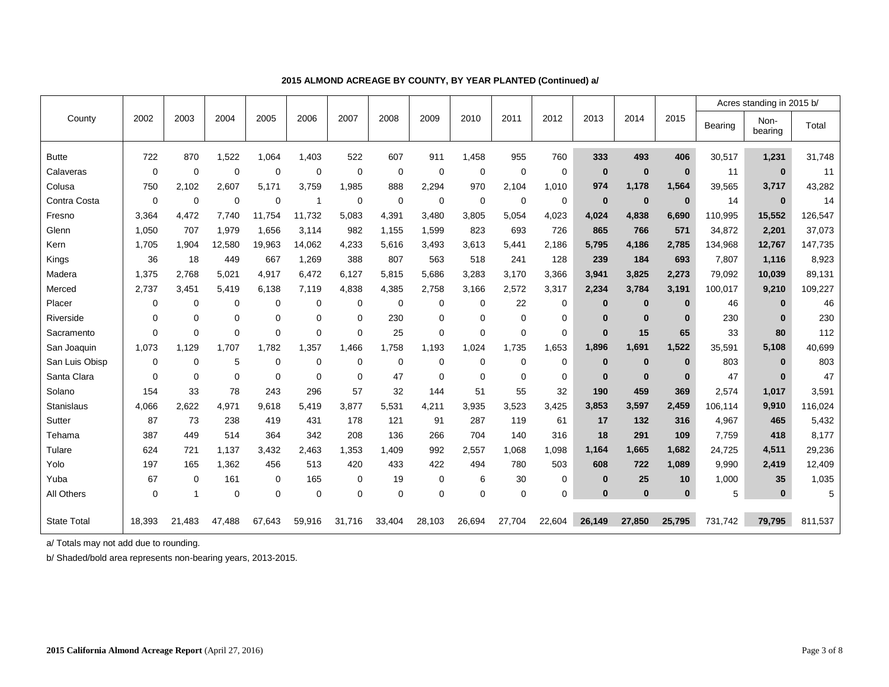|                    |             |              |             |             |              |             |             |             |             |             |          |              |             |              |         | Acres standing in 2015 b/ |         |
|--------------------|-------------|--------------|-------------|-------------|--------------|-------------|-------------|-------------|-------------|-------------|----------|--------------|-------------|--------------|---------|---------------------------|---------|
| County             | 2002        | 2003         | 2004        | 2005        | 2006         | 2007        | 2008        | 2009        | 2010        | 2011        | 2012     | 2013         | 2014        | 2015         | Bearing | Non-<br>bearing           | Total   |
| <b>Butte</b>       | 722         | 870          | 1,522       | 1,064       | 1,403        | 522         | 607         | 911         | 1,458       | 955         | 760      | 333          | 493         | 406          | 30,517  | 1,231                     | 31,748  |
| Calaveras          | $\Omega$    | $\mathbf 0$  | $\mathbf 0$ | $\mathbf 0$ | 0            | 0           | $\mathbf 0$ | 0           | 0           | 0           | 0        | $\bf{0}$     | $\mathbf 0$ | $\mathbf{0}$ | 11      | $\bf{0}$                  | 11      |
| Colusa             | 750         | 2,102        | 2.607       | 5.171       | 3.759        | 1,985       | 888         | 2,294       | 970         | 2,104       | 1,010    | 974          | 1,178       | 1,564        | 39,565  | 3,717                     | 43,282  |
| Contra Costa       | $\mathbf 0$ | $\mathbf 0$  | $\mathbf 0$ | 0           | $\mathbf{1}$ | 0           | $\mathbf 0$ | 0           | $\mathbf 0$ | $\mathbf 0$ | 0        | $\bf{0}$     | $\mathbf 0$ | $\mathbf{0}$ | 14      | $\mathbf{0}$              | 14      |
| Fresno             | 3,364       | 4.472        | 7,740       | 11,754      | 11,732       | 5,083       | 4,391       | 3,480       | 3,805       | 5,054       | 4,023    | 4,024        | 4,838       | 6,690        | 110,995 | 15,552                    | 26,547  |
| Glenn              | 1,050       | 707          | 1,979       | 1.656       | 3,114        | 982         | 1,155       | 1,599       | 823         | 693         | 726      | 865          | 766         | 571          | 34,872  | 2,201                     | 37,073  |
| Kern               | 1.705       | 1.904        | 12.580      | 19.963      | 14,062       | 4.233       | 5,616       | 3.493       | 3,613       | 5,441       | 2,186    | 5,795        | 4,186       | 2,785        | 134,968 | 12,767                    | 147,735 |
| Kings              | 36          | 18           | 449         | 667         | 1,269        | 388         | 807         | 563         | 518         | 241         | 128      | 239          | 184         | 693          | 7,807   | 1,116                     | 8,923   |
| Madera             | 1,375       | 2.768        | 5.021       | 4,917       | 6.472        | 6,127       | 5,815       | 5,686       | 3,283       | 3,170       | 3,366    | 3,941        | 3,825       | 2,273        | 79,092  | 10,039                    | 89,131  |
| Merced             | 2,737       | 3,451        | 5,419       | 6,138       | 7,119        | 4,838       | 4,385       | 2,758       | 3,166       | 2,572       | 3,317    | 2,234        | 3,784       | 3,191        | 100,017 | 9,210                     | 109,227 |
| Placer             | 0           | $\mathbf 0$  | $\mathbf 0$ | 0           | 0            | 0           | $\mathbf 0$ | 0           | 0           | 22          | 0        | $\bf{0}$     | $\bf{0}$    | $\mathbf{0}$ | 46      | $\bf{0}$                  | 46      |
| Riverside          | $\mathbf 0$ | $\mathbf 0$  | $\mathbf 0$ | 0           | 0            | $\mathbf 0$ | 230         | $\mathbf 0$ | $\mathbf 0$ | $\mathbf 0$ | 0        | $\bf{0}$     | $\mathbf 0$ | $\mathbf{0}$ | 230     | $\bf{0}$                  | 230     |
| Sacramento         | $\Omega$    | $\mathbf 0$  | $\mathbf 0$ | $\mathbf 0$ | $\Omega$     | $\Omega$    | 25          | $\mathbf 0$ | $\Omega$    | $\mathbf 0$ | 0        | $\mathbf{0}$ | 15          | 65           | 33      | 80                        | 112     |
| San Joaquin        | 1,073       | 1.129        | 1,707       | 1.782       | 1,357        | 1.466       | 1.758       | 1,193       | 1,024       | 1,735       | 1,653    | 1,896        | 1,691       | 1,522        | 35,591  | 5,108                     | 40,699  |
| San Luis Obisp     | 0           | 0            | 5           | 0           | 0            | 0           | 0           | 0           | 0           | 0           | 0        | $\bf{0}$     | $\bf{0}$    | $\mathbf{0}$ | 803     | $\bf{0}$                  | 803     |
| Santa Clara        | $\Omega$    | $\mathbf 0$  | $\mathbf 0$ | $\mathbf 0$ | 0            | 0           | 47          | $\mathbf 0$ | 0           | $\mathbf 0$ | 0        | $\bf{0}$     | $\mathbf 0$ | $\bf{0}$     | 47      | $\bf{0}$                  | 47      |
| Solano             | 154         | 33           | 78          | 243         | 296          | 57          | 32          | 144         | 51          | 55          | 32       | 190          | 459         | 369          | 2,574   | 1,017                     | 3,591   |
| Stanislaus         | 4,066       | 2,622        | 4,971       | 9.618       | 5.419        | 3,877       | 5,531       | 4,211       | 3,935       | 3,523       | 3,425    | 3,853        | 3,597       | 2,459        | 106,114 | 9,910                     | 116,024 |
| Sutter             | 87          | 73           | 238         | 419         | 431          | 178         | 121         | 91          | 287         | 119         | 61       | 17           | 132         | 316          | 4,967   | 465                       | 5,432   |
| Tehama             | 387         | 449          | 514         | 364         | 342          | 208         | 136         | 266         | 704         | 140         | 316      | 18           | 291         | 109          | 7,759   | 418                       | 8,177   |
| Tulare             | 624         | 721          | 1,137       | 3,432       | 2,463        | 1,353       | 1,409       | 992         | 2,557       | 1,068       | 1,098    | 1,164        | 1,665       | 1,682        | 24,725  | 4,511                     | 29,236  |
| Yolo               | 197         | 165          | 1,362       | 456         | 513          | 420         | 433         | 422         | 494         | 780         | 503      | 608          | 722         | 1,089        | 9,990   | 2,419                     | 12,409  |
| Yuba               | 67          | $\mathbf 0$  | 161         | 0           | 165          | 0           | 19          | 0           | 6           | 30          | 0        | $\bf{0}$     | 25          | 10           | 1,000   | 35                        | 1,035   |
| All Others         | $\mathbf 0$ | $\mathbf{1}$ | $\mathbf 0$ | 0           | $\mathbf 0$  | $\mathbf 0$ | $\Omega$    | $\mathbf 0$ | $\mathbf 0$ | $\mathbf 0$ | $\Omega$ | $\Omega$     | $\bf{0}$    | $\bf{0}$     | 5       | $\mathbf{0}$              | 5       |
|                    |             |              |             |             |              |             |             |             |             |             |          |              |             |              |         |                           |         |
| <b>State Total</b> | 18,393      | 21,483       | 47.488      | 67,643      | 59,916       | 31,716      | 33,404      | 28,103      | 26,694      | 27,704      | 22,604   | 26,149       | 27.850      | 25.795       | 731,742 | 79,795                    | 811,537 |

## **2015 ALMOND ACREAGE BY COUNTY, BY YEAR PLANTED (Continued) a/**

a/ Totals may not add due to rounding.

b/ Shaded/bold area represents non-bearing years, 2013-2015.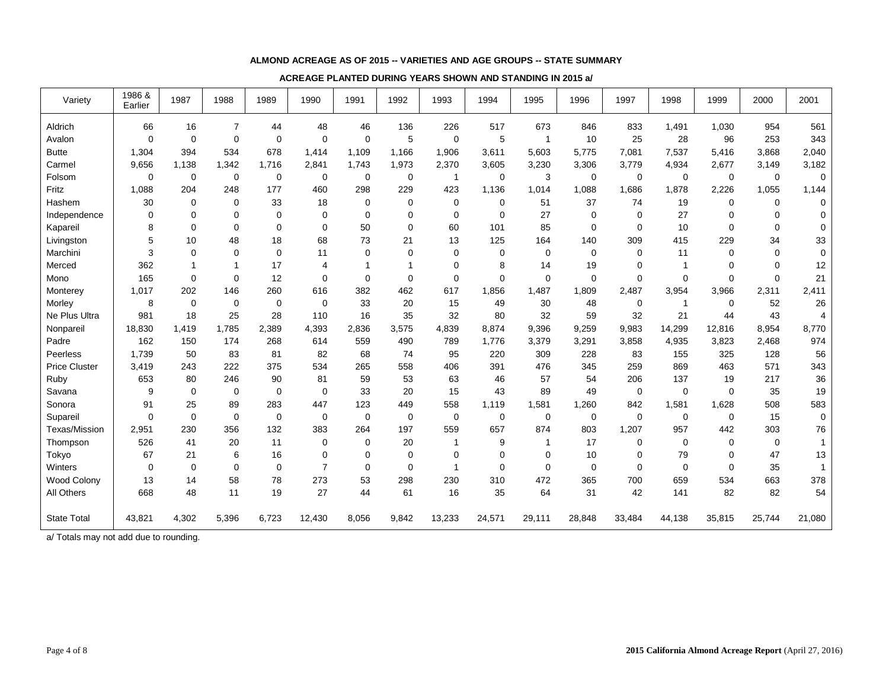#### **ALMOND ACREAGE AS OF 2015 -- VARIETIES AND AGE GROUPS -- STATE SUMMARY**

#### **ACREAGE PLANTED DURING YEARS SHOWN AND STANDING IN 2015 a/**

| Variety              | 1986 &<br>Earlier | 1987             | 1988           | 1989        | 1990           | 1991        | 1992        | 1993           | 1994        | 1995           | 1996        | 1997        | 1998         | 1999        | 2000        | 2001           |
|----------------------|-------------------|------------------|----------------|-------------|----------------|-------------|-------------|----------------|-------------|----------------|-------------|-------------|--------------|-------------|-------------|----------------|
| Aldrich              | 66                | 16               | $\overline{7}$ | 44          | 48             | 46          | 136         | 226            | 517         | 673            | 846         | 833         | 1,491        | 1,030       | 954         | 561            |
| Avalon               | $\mathbf 0$       | $\mathbf 0$      | $\mathbf 0$    | $\mathbf 0$ | $\Omega$       | $\Omega$    | 5           | $\mathbf 0$    | 5           | $\overline{1}$ | 10          | 25          | 28           | 96          | 253         | 343            |
| <b>Butte</b>         | 1,304             | 394              | 534            | 678         | 1,414          | 1,109       | 1,166       | 1,906          | 3,611       | 5,603          | 5,775       | 7,081       | 7,537        | 5,416       | 3,868       | 2,040          |
| Carmel               | 9,656             | 1,138            | 1,342          | 1,716       | 2,841          | 1,743       | 1,973       | 2,370          | 3,605       | 3,230          | 3,306       | 3,779       | 4,934        | 2,677       | 3,149       | 3,182          |
| Folsom               | $\mathbf 0$       | 0                | $\mathbf 0$    | $\mathbf 0$ | 0              | 0           | 0           | $\overline{1}$ | $\mathbf 0$ | 3              | 0           | $\mathbf 0$ | $\mathbf 0$  | 0           | $\mathbf 0$ | $\mathbf 0$    |
| Fritz                | 1,088             | 204              | 248            | 177         | 460            | 298         | 229         | 423            | 1,136       | 1,014          | 1,088       | 1,686       | 1,878        | 2,226       | 1,055       | 1,144          |
| Hashem               | 30                | 0                | $\mathbf 0$    | 33          | 18             | 0           | 0           | $\mathbf 0$    | $\mathbf 0$ | 51             | 37          | 74          | 19           | 0           | $\mathbf 0$ | $\mathbf 0$    |
| Independence         | 0                 | $\mathbf 0$      | $\mathbf 0$    | $\mathbf 0$ | $\mathbf 0$    | $\mathbf 0$ | 0           | $\mathbf 0$    | $\mathbf 0$ | 27             | 0           | $\mathbf 0$ | 27           | $\mathbf 0$ | $\mathbf 0$ | $\mathbf 0$    |
| Kapareil             | 8                 | $\mathbf 0$      | $\mathbf 0$    | $\mathbf 0$ | $\mathbf 0$    | 50          | 0           | 60             | 101         | 85             | 0           | $\mathbf 0$ | 10           | $\Omega$    | 0           | $\mathbf 0$    |
| Livingston           | 5                 | 10               | 48             | 18          | 68             | 73          | 21          | 13             | 125         | 164            | 140         | 309         | 415          | 229         | 34          | 33             |
| Marchini             | 3                 | 0                | $\mathbf 0$    | $\mathbf 0$ | 11             | $\mathbf 0$ | 0           | 0              | 0           | 0              | $\mathbf 0$ | $\mathbf 0$ | 11           | $\Omega$    | $\mathbf 0$ | $\mathbf 0$    |
| Merced               | 362               | 1                | $\mathbf{1}$   | 17          | $\overline{4}$ | 1           | $\mathbf 1$ | $\Omega$       | 8           | 14             | 19          | $\Omega$    | $\mathbf{1}$ | $\Omega$    | $\Omega$    | 12             |
| Mono                 | 165               | $\mathbf 0$      | $\mathbf 0$    | 12          | $\Omega$       | $\mathbf 0$ | 0           | $\Omega$       | $\Omega$    | $\mathbf 0$    | 0           | $\mathbf 0$ | $\Omega$     | $\Omega$    | $\Omega$    | 21             |
| Monterey             | 1,017             | 202              | 146            | 260         | 616            | 382         | 462         | 617            | 1,856       | 1,487          | 1,809       | 2,487       | 3,954        | 3,966       | 2,311       | 2,411          |
| Morley               | 8                 | 0                | $\mathbf 0$    | $\mathbf 0$ | 0              | 33          | 20          | 15             | 49          | 30             | 48          | 0           | $\mathbf{1}$ | 0           | 52          | 26             |
| Ne Plus Ultra        | 981               | 18               | 25             | 28          | 110            | 16          | 35          | 32             | 80          | 32             | 59          | 32          | 21           | 44          | 43          | $\overline{4}$ |
| Nonpareil            | 18,830            | 1,419            | 1,785          | 2,389       | 4,393          | 2,836       | 3,575       | 4,839          | 8,874       | 9,396          | 9,259       | 9,983       | 14,299       | 12,816      | 8,954       | 8,770          |
| Padre                | 162               | 150              | 174            | 268         | 614            | 559         | 490         | 789            | 1,776       | 3,379          | 3,291       | 3,858       | 4,935        | 3,823       | 2,468       | 974            |
| Peerless             | 1.739             | 50               | 83             | 81          | 82             | 68          | 74          | 95             | 220         | 309            | 228         | 83          | 155          | 325         | 128         | 56             |
| <b>Price Cluster</b> | 3,419             | 243              | 222            | 375         | 534            | 265         | 558         | 406            | 391         | 476            | 345         | 259         | 869          | 463         | 571         | 343            |
| Ruby                 | 653               | 80               | 246            | 90          | 81             | 59          | 53          | 63             | 46          | 57             | 54          | 206         | 137          | 19          | 217         | 36             |
| Savana               | 9                 | $\mathbf 0$      | $\mathbf 0$    | $\mathbf 0$ | $\Omega$       | 33          | 20          | 15             | 43          | 89             | 49          | $\mathbf 0$ | $\Omega$     | $\Omega$    | 35          | 19             |
| Sonora               | 91                | 25               | 89             | 283         | 447            | 123         | 449         | 558            | 1,119       | 1,581          | 1,260       | 842         | 1,581        | 1,628       | 508         | 583            |
| Supareil             | $\mathbf 0$       | $\boldsymbol{0}$ | $\mathbf 0$    | $\mathbf 0$ | 0              | 0           | 0           | $\mathbf 0$    | $\mathbf 0$ | 0              | 0           | $\mathbf 0$ | $\mathbf 0$  | 0           | 15          | 0              |
| Texas/Mission        | 2,951             | 230              | 356            | 132         | 383            | 264         | 197         | 559            | 657         | 874            | 803         | 1,207       | 957          | 442         | 303         | 76             |
| Thompson             | 526               | 41               | 20             | 11          | $\mathbf 0$    | $\mathbf 0$ | 20          |                | 9           | $\overline{1}$ | 17          | $\mathbf 0$ | $\Omega$     | $\Omega$    | $\Omega$    | $\mathbf{1}$   |
| Tokyo                | 67                | 21               | 6              | 16          | $\mathbf 0$    | $\mathbf 0$ | 0           | $\mathbf 0$    | $\mathbf 0$ | $\mathbf 0$    | 10          | $\mathbf 0$ | 79           | $\mathbf 0$ | 47          | 13             |
| Winters              | 0                 | $\mathbf 0$      | $\mathbf 0$    | $\mathbf 0$ | $\overline{7}$ | 0           | 0           | 1              | $\mathbf 0$ | 0              | 0           | $\mathbf 0$ | $\mathbf 0$  | $\mathbf 0$ | 35          | $\mathbf{1}$   |
| Wood Colony          | 13                | 14               | 58             | 78          | 273            | 53          | 298         | 230            | 310         | 472            | 365         | 700         | 659          | 534         | 663         | 378            |
| All Others           | 668               | 48               | 11             | 19          | 27             | 44          | 61          | 16             | 35          | 64             | 31          | 42          | 141          | 82          | 82          | 54             |
| <b>State Total</b>   | 43,821            | 4,302            | 5,396          | 6,723       | 12,430         | 8,056       | 9,842       | 13,233         | 24,571      | 29,111         | 28,848      | 33,484      | 44,138       | 35,815      | 25,744      | 21,080         |

a/ Totals may not add due to rounding.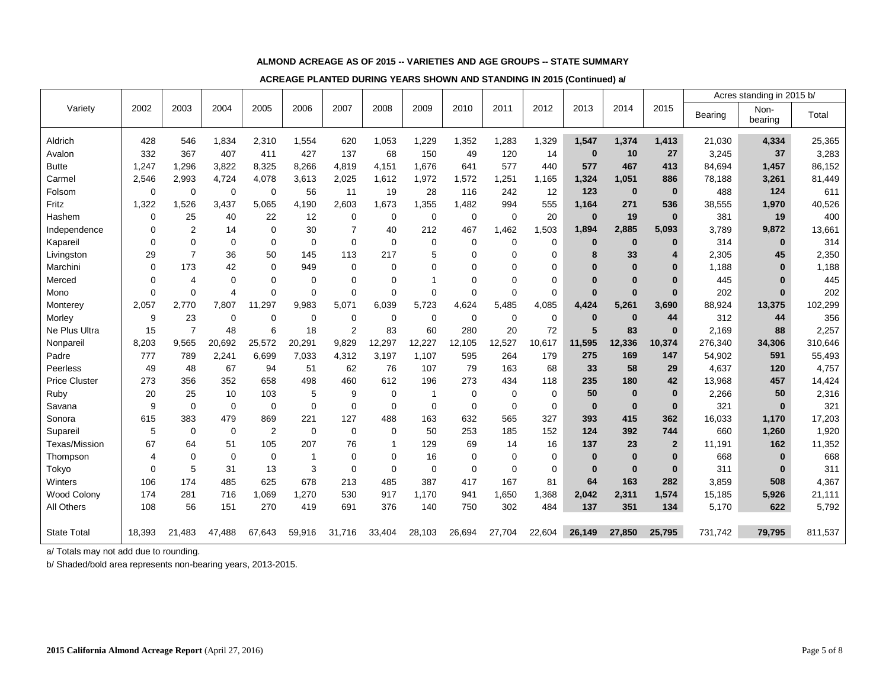#### **ALMOND ACREAGE AS OF 2015 -- VARIETIES AND AGE GROUPS -- STATE SUMMARY**

**ACREAGE PLANTED DURING YEARS SHOWN AND STANDING IN 2015 (Continued) a/**

|                      |             |                |                         |                |             |                |                  |             |             |             |             |          |              |                |         | Acres standing in 2015 b/ |         |
|----------------------|-------------|----------------|-------------------------|----------------|-------------|----------------|------------------|-------------|-------------|-------------|-------------|----------|--------------|----------------|---------|---------------------------|---------|
| Variety              | 2002        | 2003           | 2004                    | 2005           | 2006        | 2007           | 2008             | 2009        | 2010        | 2011        | 2012        | 2013     | 2014         | 2015           | Bearing | Non-<br>bearing           | Total   |
| Aldrich              | 428         | 546            | 1,834                   | 2,310          | 1,554       | 620            | 1,053            | 1,229       | 1,352       | 1,283       | 1,329       | 1,547    | 1,374        | 1,413          | 21,030  | 4,334                     | 25,365  |
| Avalon               | 332         | 367            | 407                     | 411            | 427         | 137            | 68               | 150         | 49          | 120         | 14          | $\bf{0}$ | 10           | 27             | 3,245   | 37                        | 3,283   |
| <b>Butte</b>         | 1,247       | 1.296          | 3.822                   | 8.325          | 8,266       | 4,819          | 4,151            | 1.676       | 641         | 577         | 440         | 577      | 467          | 413            | 84.694  | 1.457                     | 86,152  |
| Carmel               | 2,546       | 2.993          | 4.724                   | 4,078          | 3,613       | 2,025          | 1,612            | 1,972       | 1,572       | ,251        | 1.165       | 1,324    | 1,051        | 886            | 78.188  | 3,261                     | 81,449  |
| Folsom               | $\mathbf 0$ | $\mathbf 0$    | $\mathbf 0$             | $\mathbf 0$    | 56          | 11             | 19               | 28          | 116         | 242         | 12          | 123      | $\bf{0}$     | $\bf{0}$       | 488     | 124                       | 611     |
| Fritz                | 1,322       | 1,526          | 3,437                   | 5,065          | 4,190       | 2,603          | 1,673            | 1,355       | 1,482       | 994         | 555         | 1,164    | 271          | 536            | 38,555  | 1,970                     | 40,526  |
| Hashem               | $\mathbf 0$ | 25             | 40                      | 22             | 12          | $\mathbf 0$    | $\boldsymbol{0}$ | $\mathbf 0$ | $\mathbf 0$ | $\mathbf 0$ | 20          | $\bf{0}$ | 19           | $\bf{0}$       | 381     | 19                        | 400     |
| Independence         | $\mathbf 0$ | $\overline{2}$ | 14                      | $\mathbf 0$    | 30          | $\overline{7}$ | 40               | 212         | 467         | 1,462       | 1,503       | 1,894    | 2,885        | 5,093          | 3,789   | 9,872                     | 13,661  |
| Kapareil             | 0           | $\mathbf 0$    | $\mathbf 0$             | $\Omega$       | $\mathbf 0$ | $\mathbf 0$    | 0                | 0           | $\mathbf 0$ | 0           | 0           | $\bf{0}$ | $\bf{0}$     | $\bf{0}$       | 314     | $\bf{0}$                  | 314     |
| Livingston           | 29          | $\overline{7}$ | 36                      | 50             | 145         | 113            | 217              | 5           | $\mathbf 0$ | $\mathbf 0$ | 0           | 8        | 33           | 4              | 2,305   | 45                        | 2,350   |
| Marchini             | $\mathbf 0$ | 173            | 42                      | $\Omega$       | 949         | $\mathbf 0$    | 0                | 0           | 0           | $\mathbf 0$ | $\mathbf 0$ |          | $\bf{0}$     | $\bf{0}$       | 1.188   | $\bf{0}$                  | 1,188   |
| Merced               | $\mathbf 0$ | $\overline{4}$ | $\Omega$                | $\Omega$       | 0           | $\mathbf 0$    | 0                | 1           | $\mathbf 0$ | $\mathbf 0$ | $\mathbf 0$ | $\Omega$ | $\mathbf{0}$ | $\bf{0}$       | 445     | $\bf{0}$                  | 445     |
| Mono                 | $\mathbf 0$ | $\mathbf 0$    | $\overline{\mathbf{4}}$ | $\Omega$       | $\mathbf 0$ | $\mathbf 0$    | 0                | 0           | $\mathbf 0$ | $\mathbf 0$ | $\mathbf 0$ | $\bf{0}$ | $\bf{0}$     | $\bf{0}$       | 202     | $\bf{0}$                  | 202     |
| Monterey             | 2,057       | 2,770          | 7,807                   | ,297<br>11     | 9,983       | 5,071          | 6,039            | 5,723       | 4,624       | 5,485       | 4,085       | 4,424    | 5,261        | 3,690          | 88,924  | 13,375                    | 102,299 |
| Morley               | 9           | 23             | $\Omega$                | $\Omega$       | $\mathbf 0$ | $\mathbf 0$    | $\mathbf 0$      | $\mathbf 0$ | $\mathbf 0$ | $\mathbf 0$ | $\mathbf 0$ | $\bf{0}$ | $\bf{0}$     | 44             | 312     | 44                        | 356     |
| Ne Plus Ultra        | 15          | $\overline{7}$ | 48                      | 6              | 18          | $\overline{2}$ | 83               | 60          | 280         | 20          | 72          | 5        | 83           | $\bf{0}$       | 2,169   | 88                        | 2,257   |
| Nonpareil            | 8,203       | 9,565          | 20,692                  | 25,572         | 20,291      | 9,829          | 12,297           | 12,227      | 12,105      | 12,527      | 10,617      | 11,595   | 12,336       | 10,374         | 276,340 | 34,306                    | 310,646 |
| Padre                | 777         | 789            | 2,241                   | 6,699          | 7,033       | 4,312          | 3,197            | 1,107       | 595         | 264         | 179         | 275      | 169          | 147            | 54,902  | 591                       | 55,493  |
| Peerless             | 49          | 48             | 67                      | 94             | 51          | 62             | 76               | 107         | 79          | 163         | 68          | 33       | 58           | 29             | 4,637   | 120                       | 4,757   |
| <b>Price Cluster</b> | 273         | 356            | 352                     | 658            | 498         | 460            | 612              | 196         | 273         | 434         | 118         | 235      | 180          | 42             | 13,968  | 457                       | 14,424  |
| Ruby                 | 20          | 25             | 10                      | 103            | 5           | 9              | 0                | -1          | $\mathbf 0$ | 0           | $\mathbf 0$ | 50       | $\bf{0}$     | $\bf{0}$       | 2,266   | 50                        | 2,316   |
| Savana               | 9           | $\mathbf 0$    | $\Omega$                | $\Omega$       | $\Omega$    | $\Omega$       | $\Omega$         | $\mathbf 0$ | $\mathbf 0$ | $\mathbf 0$ | $\mathbf 0$ | $\bf{0}$ | $\bf{0}$     | $\bf{0}$       | 321     | $\mathbf{0}$              | 321     |
| Sonora               | 615         | 383            | 479                     | 869            | 221         | 127            | 488              | 163         | 632         | 565         | 327         | 393      | 415          | 362            | 16,033  | 1,170                     | 17,203  |
| Supareil             | 5           | $\mathbf 0$    | $\Omega$                | $\overline{2}$ | $\Omega$    | $\Omega$       | 0                | 50          | 253         | 185         | 152         | 124      | 392          | 744            | 660     | 1,260                     | 1,920   |
| Texas/Mission        | 67          | 64             | 51                      | 105            | 207         | 76             | $\mathbf{1}$     | 129         | 69          | 14          | 16          | 137      | 23           | $\overline{2}$ | 11,191  | 162                       | 11,352  |
| Thompson             | 4           | $\mathbf 0$    | $\Omega$                | $\Omega$       | -1          | $\Omega$       | $\mathbf 0$      | 16          | $\mathbf 0$ | $\mathbf 0$ | $\mathbf 0$ | $\bf{0}$ | $\bf{0}$     | $\mathbf{0}$   | 668     | $\bf{0}$                  | 668     |
| Tokyo                | $\Omega$    | 5              | 31                      | 13             | 3           | $\Omega$       | $\mathbf 0$      | $\mathbf 0$ | $\mathbf 0$ | $\Omega$    | $\mathbf 0$ | $\bf{0}$ | $\bf{0}$     | $\bf{0}$       | 311     | $\bf{0}$                  | 311     |
| Winters              | 106         | 174            | 485                     | 625            | 678         | 213            | 485              | 387         | 417         | 167         | 81          | 64       | 163          | 282            | 3.859   | 508                       | 4.367   |
| <b>Wood Colony</b>   | 174         | 281            | 716                     | 1,069          | 1,270       | 530            | 917              | 1,170       | 941         | 1,650       | 1,368       | 2,042    | 2,311        | 1,574          | 15,185  | 5,926                     | 21,111  |
| All Others           | 108         | 56             | 151                     | 270            | 419         | 691            | 376              | 140         | 750         | 302         | 484         | 137      | 351          | 134            | 5,170   | 622                       | 5,792   |
|                      |             |                |                         |                |             |                |                  |             |             |             |             |          |              |                |         |                           |         |
| <b>State Total</b>   | 18,393      | 21,483         | 47.488                  | 67,643         | 59,916      | 31,716         | 33,404           | 28,103      | 26,694      | 27,704      | 22,604      | 26,149   | 27.850       | 25,795         | 731,742 | 79,795                    | 811,537 |

a/ Totals may not add due to rounding.

b/ Shaded/bold area represents non-bearing years, 2013-2015.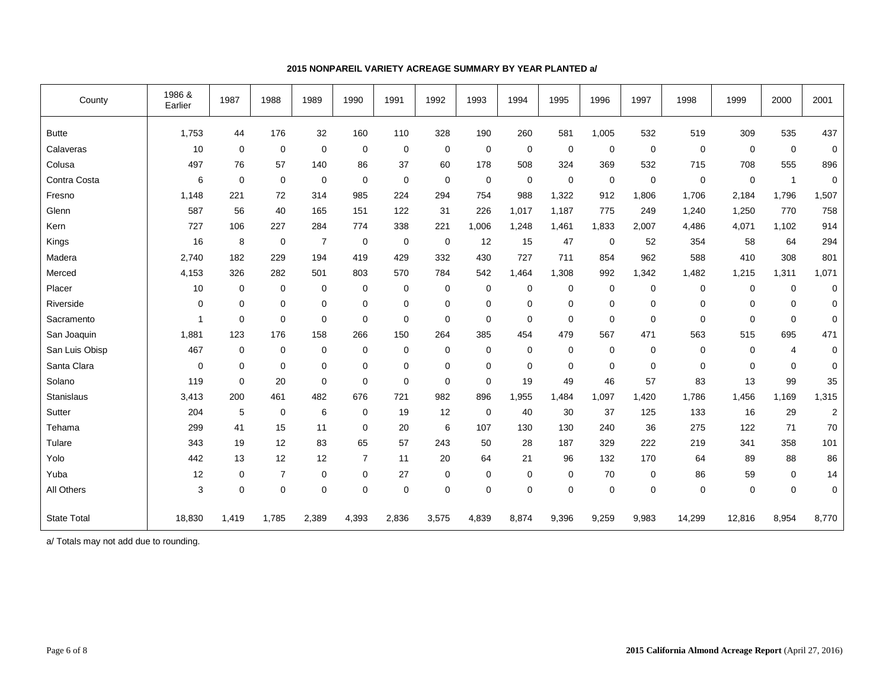| County             | 1986 &<br>Earlier | 1987        | 1988           | 1989           | 1990           | 1991        | 1992           | 1993        | 1994        | 1995        | 1996        | 1997  | 1998        | 1999             | 2000         | 2001           |
|--------------------|-------------------|-------------|----------------|----------------|----------------|-------------|----------------|-------------|-------------|-------------|-------------|-------|-------------|------------------|--------------|----------------|
| <b>Butte</b>       | 1,753             | 44          | 176            | 32             | 160            | 110         | 328            | 190         | 260         | 581         | 1,005       | 532   | 519         | 309              | 535          | 437            |
| Calaveras          | 10                | $\mathbf 0$ | $\mathbf 0$    | $\mathbf 0$    | $\mathbf 0$    | $\mathbf 0$ | $\overline{0}$ | $\mathbf 0$ | $\mathbf 0$ | $\mathbf 0$ | $\mathbf 0$ | 0     | $\mathbf 0$ | $\boldsymbol{0}$ | $\mathbf 0$  | $\mathbf 0$    |
| Colusa             | 497               | 76          | 57             | 140            | 86             | 37          | 60             | 178         | 508         | 324         | 369         | 532   | 715         | 708              | 555          | 896            |
| Contra Costa       | 6                 | 0           | $\mathbf 0$    | $\mathbf 0$    | $\mathbf 0$    | 0           | 0              | $\mathbf 0$ | 0           | $\mathbf 0$ | $\mathbf 0$ | 0     | $\mathbf 0$ | $\mathbf 0$      | $\mathbf{1}$ | 0              |
| Fresno             | 1,148             | 221         | 72             | 314            | 985            | 224         | 294            | 754         | 988         | 1,322       | 912         | 1,806 | 1,706       | 2,184            | 1,796        | 1,507          |
| Glenn              | 587               | 56          | 40             | 165            | 151            | 122         | 31             | 226         | 1,017       | 1,187       | 775         | 249   | 1,240       | 1,250            | 770          | 758            |
| Kern               | 727               | 106         | 227            | 284            | 774            | 338         | 221            | 1,006       | 1,248       | 1,461       | 1,833       | 2,007 | 4,486       | 4,071            | 1,102        | 914            |
| Kings              | 16                | 8           | $\mathbf 0$    | $\overline{7}$ | $\mathbf 0$    | 0           | $\mathbf 0$    | 12          | 15          | 47          | $\mathbf 0$ | 52    | 354         | 58               | 64           | 294            |
| Madera             | 2,740             | 182         | 229            | 194            | 419            | 429         | 332            | 430         | 727         | 711         | 854         | 962   | 588         | 410              | 308          | 801            |
| Merced             | 4,153             | 326         | 282            | 501            | 803            | 570         | 784            | 542         | 1,464       | 1,308       | 992         | 1,342 | 1,482       | 1,215            | 1,311        | 1,071          |
| Placer             | 10                | 0           | $\mathbf 0$    | 0              | $\mathbf 0$    | $\mathbf 0$ | $\mathbf 0$    | $\mathbf 0$ | $\mathbf 0$ | $\mathbf 0$ | $\mathbf 0$ | 0     | $\mathbf 0$ | $\mathbf 0$      | $\mathbf 0$  | $\mathbf 0$    |
| Riverside          | $\mathbf 0$       | 0           | $\mathbf 0$    | 0              | $\mathbf 0$    | $\mathbf 0$ | $\mathbf 0$    | $\mathbf 0$ | $\mathbf 0$ | $\mathbf 0$ | $\mathbf 0$ | 0     | $\mathbf 0$ | $\mathbf 0$      | 0            | 0              |
| Sacramento         |                   | 0           | $\mathbf 0$    | $\pmb{0}$      | $\mathbf 0$    | 0           | $\mathbf 0$    | $\mathbf 0$ | $\mathbf 0$ | $\mathbf 0$ | 0           | 0     | $\Omega$    | $\mathbf 0$      | $\mathbf 0$  | $\mathbf 0$    |
| San Joaquin        | 1,881             | 123         | 176            | 158            | 266            | 150         | 264            | 385         | 454         | 479         | 567         | 471   | 563         | 515              | 695          | 471            |
| San Luis Obisp     | 467               | $\mathbf 0$ | $\mathbf 0$    | 0              | $\mathbf 0$    | 0           | 0              | 0           | $\mathbf 0$ | $\mathbf 0$ | 0           | 0     | $\mathbf 0$ | 0                | 4            | 0              |
| Santa Clara        | $\mathbf 0$       | 0           | $\mathbf 0$    | 0              | $\mathbf 0$    | $\mathbf 0$ | $\mathbf 0$    | $\mathbf 0$ | $\mathbf 0$ | $\mathbf 0$ | $\mathbf 0$ | 0     | $\mathbf 0$ | $\mathbf 0$      | $\mathbf 0$  | 0              |
| Solano             | 119               | 0           | 20             | 0              | $\mathbf 0$    | 0           | $\mathbf 0$    | $\mathbf 0$ | 19          | 49          | 46          | 57    | 83          | 13               | 99           | 35             |
| Stanislaus         | 3,413             | 200         | 461            | 482            | 676            | 721         | 982            | 896         | 1,955       | 1,484       | 1,097       | 1,420 | 1,786       | 1,456            | 1,169        | 1,315          |
| Sutter             | 204               | 5           | $\mathbf 0$    | 6              | 0              | 19          | 12             | $\mathbf 0$ | 40          | 30          | 37          | 125   | 133         | 16               | 29           | $\overline{c}$ |
| Tehama             | 299               | 41          | 15             | 11             | $\mathbf 0$    | 20          | 6              | 107         | 130         | 130         | 240         | 36    | 275         | 122              | 71           | 70             |
| Tulare             | 343               | 19          | 12             | 83             | 65             | 57          | 243            | 50          | 28          | 187         | 329         | 222   | 219         | 341              | 358          | 101            |
| Yolo               | 442               | 13          | 12             | 12             | $\overline{7}$ | 11          | 20             | 64          | 21          | 96          | 132         | 170   | 64          | 89               | 88           | 86             |
| Yuba               | 12                | $\mathbf 0$ | $\overline{7}$ | 0              | 0              | 27          | 0              | 0           | $\mathbf 0$ | 0           | 70          | 0     | 86          | 59               | 0            | 14             |
| All Others         | 3                 | 0           | $\mathbf 0$    | $\mathbf 0$    | $\mathbf 0$    | $\mathbf 0$ | $\mathbf 0$    | $\Omega$    | $\Omega$    | $\Omega$    | $\mathbf 0$ | 0     | $\mathbf 0$ | $\mathbf 0$      | 0            | $\mathbf 0$    |
| <b>State Total</b> | 18,830            | 1,419       | 1,785          | 2,389          | 4,393          | 2,836       | 3,575          | 4,839       | 8,874       | 9,396       | 9,259       | 9,983 | 14,299      | 12,816           | 8,954        | 8,770          |

### **2015 NONPAREIL VARIETY ACREAGE SUMMARY BY YEAR PLANTED a/**

a/ Totals may not add due to rounding.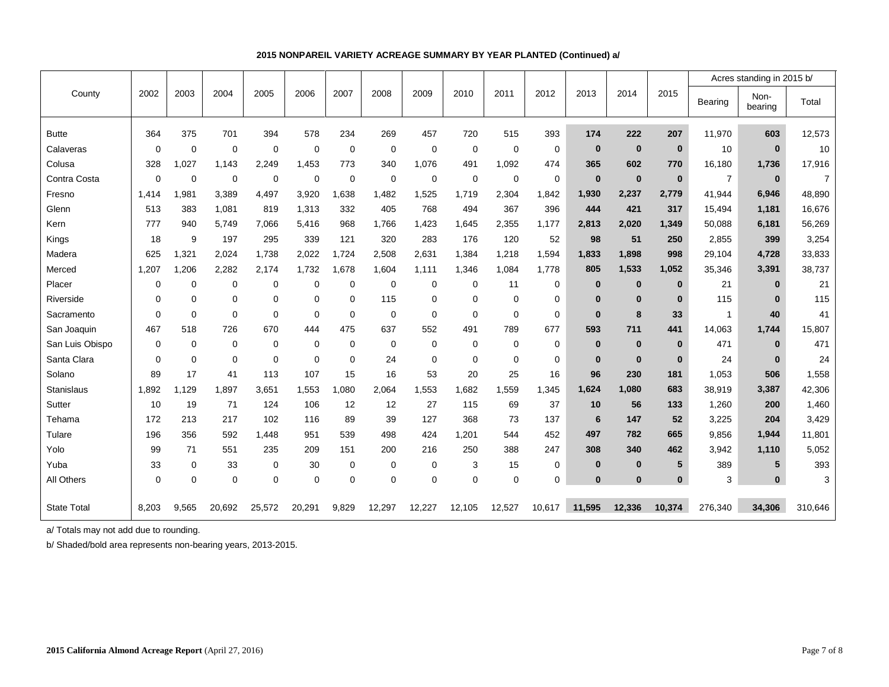|                    |                |             |             |             |          |             |             |             |             |             |             |              |              |              |                | Acres standing in 2015 b/ |                |  |
|--------------------|----------------|-------------|-------------|-------------|----------|-------------|-------------|-------------|-------------|-------------|-------------|--------------|--------------|--------------|----------------|---------------------------|----------------|--|
| County             | 2002           | 2003        | 2004        | 2005        | 2006     | 2007        | 2008        | 2009        | 2010        | 2011        | 2012        | 2013         | 2014         | 2015         | Bearing        | Non-<br>bearing           | Total          |  |
| <b>Butte</b>       | 364            | 375         | 701         | 394         | 578      | 234         | 269         | 457         | 720         | 515         | 393         | 174          | 222          | 207          | 11,970         | 603                       | 12,573         |  |
| Calaveras          | 0              | $\mathbf 0$ | $\mathbf 0$ | $\mathbf 0$ | 0        | 0           | 0           | $\mathbf 0$ | 0           | $\mathbf 0$ | $\mathbf 0$ | $\bf{0}$     | $\bf{0}$     | $\mathbf{0}$ | 10             | $\bf{0}$                  | 10             |  |
| Colusa             | 328            | 1,027       | 1,143       | 2,249       | 1,453    | 773         | 340         | 1,076       | 491         | 1,092       | 474         | 365          | 602          | 770          | 16,180         | 1,736                     | 17,916         |  |
| Contra Costa       | $\Omega$       | $\mathbf 0$ | $\mathbf 0$ | $\mathbf 0$ | 0        | $\mathbf 0$ | $\mathbf 0$ | $\mathbf 0$ | $\mathbf 0$ | $\Omega$    | $\mathbf 0$ | $\mathbf{0}$ | $\bf{0}$     | $\mathbf{0}$ | $\overline{7}$ | $\bf{0}$                  | $\overline{7}$ |  |
| Fresno             | 1,414          | 1,981       | 3,389       | 4,497       | 3,920    | .638        | 1,482       | 1,525       | 1,719       | 2,304       | 1,842       | 1,930        | 2,237        | 2,779        | 41,944         | 6,946                     | 48,890         |  |
| Glenn              | 513            | 383         | 1,081       | 819         | 1,313    | 332         | 405         | 768         | 494         | 367         | 396         | 444          | 421          | 317          | 15,494         | 1,181                     | 16,676         |  |
| Kern               | 777            | 940         | 5,749       | 7,066       | 5,416    | 968         | 1,766       | 1,423       | 1,645       | 2,355       | 1,177       | 2,813        | 2,020        | 1,349        | 50,088         | 6,181                     | 56,269         |  |
| Kings              | 18             | 9           | 197         | 295         | 339      | 121         | 320         | 283         | 176         | 120         | 52          | 98           | 51           | 250          | 2,855          | 399                       | 3,254          |  |
| Madera             | 625            | 1,321       | 2,024       | 1,738       | 2,022    | 1.724       | 2,508       | 2,631       | 1,384       | 1,218       | 1,594       | 1,833        | 1,898        | 998          | 29,104         | 4,728                     | 33,833         |  |
| Merced             | 1,207          | 1,206       | 2,282       | 2.174       | 1,732    | 1.678       | 1,604       | 1,111       | 1,346       | 1,084       | 1,778       | 805          | 1,533        | 1,052        | 35,346         | 3,391                     | 38,737         |  |
| Placer             | 0              | 0           | 0           | 0           | 0        | 0           | 0           | $\mathbf 0$ | 0           | 11          | $\mathbf 0$ | $\bf{0}$     | $\bf{0}$     | $\bf{0}$     | 21             | $\bf{0}$                  | 21             |  |
| Riverside          | 0              | $\mathbf 0$ | $\mathbf 0$ | $\mathbf 0$ | 0        | $\Omega$    | 115         | $\mathbf 0$ | 0           | $\mathbf 0$ | $\mathbf 0$ | $\mathbf 0$  | $\mathbf{0}$ | $\mathbf{0}$ | 115            | $\bf{0}$                  | 115            |  |
| Sacramento         | $\overline{0}$ | $\mathbf 0$ | $\Omega$    | $\mathbf 0$ | $\Omega$ | $\Omega$    | $\Omega$    | $\Omega$    | $\Omega$    | $\Omega$    | $\mathbf 0$ | $\mathbf{0}$ | 8            | 33           | $\mathbf{1}$   | 40                        | 41             |  |
| San Joaquin        | 467            | 518         | 726         | 670         | 444      | 475         | 637         | 552         | 491         | 789         | 677         | 593          | 711          | 441          | 14,063         | 1,744                     | 15,807         |  |
| San Luis Obispo    | $\mathbf 0$    | $\mathbf 0$ | $\mathbf 0$ | $\mathbf 0$ | 0        | $\mathbf 0$ | $\mathbf 0$ | $\mathbf 0$ | $\mathbf 0$ | $\mathbf 0$ | $\mathbf 0$ | $\bf{0}$     | $\bf{0}$     | $\mathbf{0}$ | 471            | $\bf{0}$                  | 471            |  |
| Santa Clara        | 0              | 0           | 0           | $\mathbf 0$ | 0        | $\Omega$    | 24          | $\mathbf 0$ | 0           | $\mathbf 0$ | $\mathbf 0$ | $\bf{0}$     | $\bf{0}$     | $\mathbf{0}$ | 24             | $\bf{0}$                  | 24             |  |
| Solano             | 89             | 17          | 41          | 113         | 107      | 15          | 16          | 53          | 20          | 25          | 16          | 96           | 230          | 181          | 1,053          | 506                       | 1,558          |  |
| Stanislaus         | 1,892          | 1,129       | 1,897       | 3,651       | 1.553    | .080        | 2,064       | 1,553       | 1,682       | 1,559       | 1,345       | 1.624        | 1,080        | 683          | 38,919         | 3,387                     | 42,306         |  |
| Sutter             | 10             | 19          | 71          | 124         | 106      | 12          | 12          | 27          | 115         | 69          | 37          | 10           | 56           | 133          | 1,260          | 200                       | 1,460          |  |
| Tehama             | 172            | 213         | 217         | 102         | 116      | 89          | 39          | 127         | 368         | 73          | 137         | 6            | 147          | 52           | 3,225          | 204                       | 3,429          |  |
| Tulare             | 196            | 356         | 592         | 1.448       | 951      | 539         | 498         | 424         | 1,201       | 544         | 452         | 497          | 782          | 665          | 9,856          | 1,944                     | 11,801         |  |
| Yolo               | 99             | 71          | 551         | 235         | 209      | 151         | 200         | 216         | 250         | 388         | 247         | 308          | 340          | 462          | 3,942          | 1,110                     | 5,052          |  |
| Yuba               | 33             | 0           | 33          | $\mathbf 0$ | 30       | 0           | 0           | $\mathbf 0$ | 3           | 15          | $\mathbf 0$ | $\mathbf 0$  | $\bf{0}$     | 5            | 389            | 5                         | 393            |  |
| All Others         | 0              | $\mathbf 0$ | $\mathbf 0$ | $\mathbf 0$ | 0        | $\Omega$    | 0           | $\mathbf 0$ | 0           | $\mathbf 0$ | $\mathbf 0$ | $\bf{0}$     | $\mathbf{0}$ | $\bf{0}$     | 3              | $\mathbf{0}$              | 3              |  |
|                    |                |             |             |             |          |             |             |             |             |             |             |              |              |              |                |                           |                |  |
| <b>State Total</b> | 8,203          | 9,565       | 20,692      | 25,572      | 20,291   | 9,829       | 12,297      | 12,227      | 12,105      | 12,527      | 10,617      | 11,595       | 12,336       | 10,374       | 276,340        | 34,306                    | 310,646        |  |

## **2015 NONPAREIL VARIETY ACREAGE SUMMARY BY YEAR PLANTED (Continued) a/**

a/ Totals may not add due to rounding.

b/ Shaded/bold area represents non-bearing years, 2013-2015.